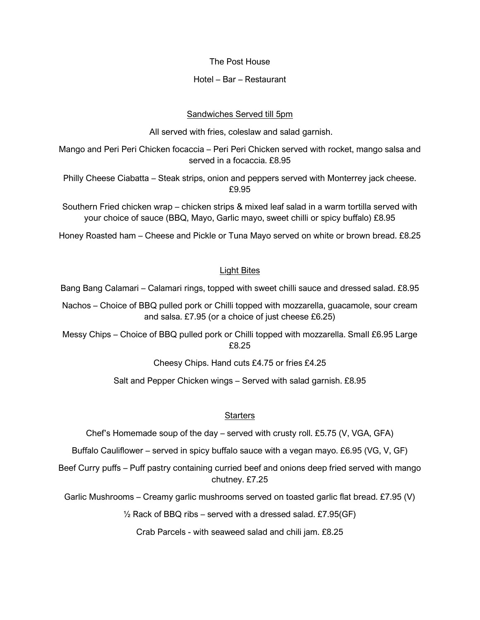The Post House

## Hotel – Bar – Restaurant

# Sandwiches Served till 5pm

All served with fries, coleslaw and salad garnish.

Mango and Peri Peri Chicken focaccia – Peri Peri Chicken served with rocket, mango salsa and served in a focaccia. £8.95

Philly Cheese Ciabatta – Steak strips, onion and peppers served with Monterrey jack cheese. £9.95

Southern Fried chicken wrap – chicken strips & mixed leaf salad in a warm tortilla served with your choice of sauce (BBQ, Mayo, Garlic mayo, sweet chilli or spicy buffalo) £8.95

Honey Roasted ham – Cheese and Pickle or Tuna Mayo served on white or brown bread. £8.25

# Light Bites

Bang Bang Calamari – Calamari rings, topped with sweet chilli sauce and dressed salad. £8.95

Nachos – Choice of BBQ pulled pork or Chilli topped with mozzarella, guacamole, sour cream and salsa. £7.95 (or a choice of just cheese £6.25)

Messy Chips – Choice of BBQ pulled pork or Chilli topped with mozzarella. Small £6.95 Large £8.25

Cheesy Chips. Hand cuts £4.75 or fries £4.25

Salt and Pepper Chicken wings – Served with salad garnish. £8.95

# **Starters**

Chef's Homemade soup of the day – served with crusty roll. £5.75 (V, VGA, GFA)

Buffalo Cauliflower – served in spicy buffalo sauce with a vegan mayo. £6.95 (VG, V, GF)

Beef Curry puffs – Puff pastry containing curried beef and onions deep fried served with mango chutney. £7.25

Garlic Mushrooms – Creamy garlic mushrooms served on toasted garlic flat bread. £7.95 (V)

 $\frac{1}{2}$  Rack of BBQ ribs – served with a dressed salad. £7.95(GF)

Crab Parcels - with seaweed salad and chili jam. £8.25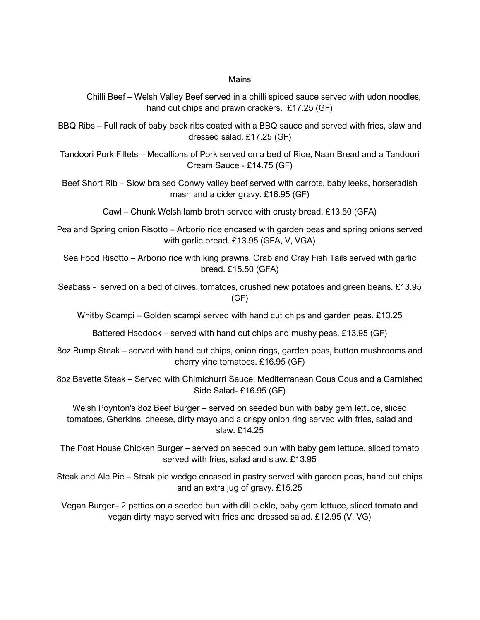## Mains

Chilli Beef – Welsh Valley Beef served in a chilli spiced sauce served with udon noodles, hand cut chips and prawn crackers. £17.25 (GF)

BBQ Ribs – Full rack of baby back ribs coated with a BBQ sauce and served with fries, slaw and dressed salad. £17.25 (GF)

Tandoori Pork Fillets – Medallions of Pork served on a bed of Rice, Naan Bread and a Tandoori Cream Sauce - £14.75 (GF)

Beef Short Rib – Slow braised Conwy valley beef served with carrots, baby leeks, horseradish mash and a cider gravy. £16.95 (GF)

Cawl – Chunk Welsh lamb broth served with crusty bread. £13.50 (GFA)

Pea and Spring onion Risotto – Arborio rice encased with garden peas and spring onions served with garlic bread. £13.95 (GFA, V, VGA)

Sea Food Risotto – Arborio rice with king prawns, Crab and Cray Fish Tails served with garlic bread. £15.50 (GFA)

Seabass - served on a bed of olives, tomatoes, crushed new potatoes and green beans. £13.95 (GF)

Whitby Scampi – Golden scampi served with hand cut chips and garden peas. £13.25

Battered Haddock – served with hand cut chips and mushy peas. £13.95 (GF)

8oz Rump Steak – served with hand cut chips, onion rings, garden peas, button mushrooms and cherry vine tomatoes. £16.95 (GF)

8oz Bavette Steak – Served with Chimichurri Sauce, Mediterranean Cous Cous and a Garnished Side Salad- £16.95 (GF)

Welsh Poynton's 8oz Beef Burger – served on seeded bun with baby gem lettuce, sliced tomatoes, Gherkins, cheese, dirty mayo and a crispy onion ring served with fries, salad and slaw. £14.25

The Post House Chicken Burger – served on seeded bun with baby gem lettuce, sliced tomato served with fries, salad and slaw. £13.95

Steak and Ale Pie – Steak pie wedge encased in pastry served with garden peas, hand cut chips and an extra jug of gravy. £15.25

Vegan Burger– 2 patties on a seeded bun with dill pickle, baby gem lettuce, sliced tomato and vegan dirty mayo served with fries and dressed salad. £12.95 (V, VG)